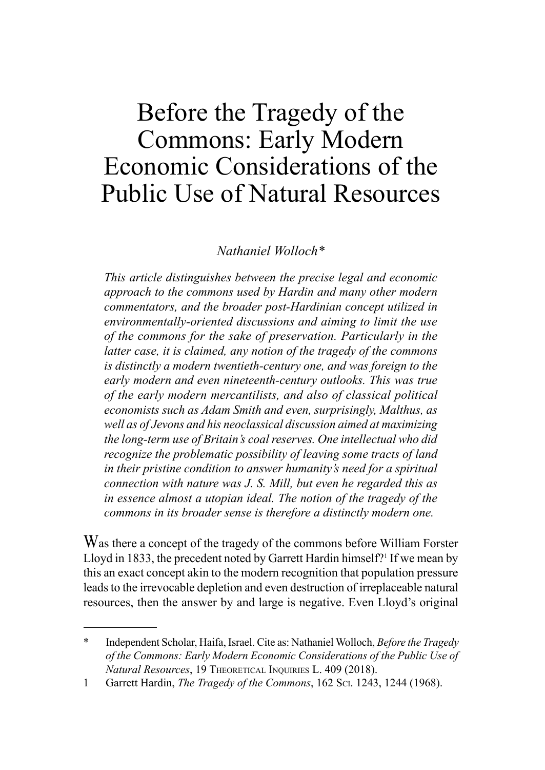## Before the Tragedy of the Commons: Early Modern Economic Considerations of the Public Use of Natural Resources

## *Nathaniel Wolloch\**

*This article distinguishes between the precise legal and economic approach to the commons used by Hardin and many other modern commentators, and the broader post-Hardinian concept utilized in environmentally-oriented discussions and aiming to limit the use of the commons for the sake of preservation. Particularly in the latter case, it is claimed, any notion of the tragedy of the commons is distinctly a modern twentieth-century one, and was foreign to the early modern and even nineteenth-century outlooks. This was true of the early modern mercantilists, and also of classical political economists such as Adam Smith and even, surprisingly, Malthus, as well as of Jevons and his neoclassical discussion aimed at maximizing the long-term use of Britain's coal reserves. One intellectual who did recognize the problematic possibility of leaving some tracts of land in their pristine condition to answer humanity's need for a spiritual connection with nature was J. S. Mill, but even he regarded this as in essence almost a utopian ideal. The notion of the tragedy of the commons in its broader sense is therefore a distinctly modern one.*

Was there a concept of the tragedy of the commons before William Forster Lloyd in 1833, the precedent noted by Garrett Hardin himself?<sup>1</sup> If we mean by this an exact concept akin to the modern recognition that population pressure leads to the irrevocable depletion and even destruction of irreplaceable natural resources, then the answer by and large is negative. Even Lloyd's original

<sup>\*</sup> Independent Scholar, Haifa, Israel. Cite as: Nathaniel Wolloch, *Before the Tragedy of the Commons: Early Modern Economic Considerations of the Public Use of Natural Resources*, 19 Theoretical Inquiries L. 409 (2018).

<sup>1</sup> Garrett Hardin, *The Tragedy of the Commons*, 162 Sci. 1243, 1244 (1968).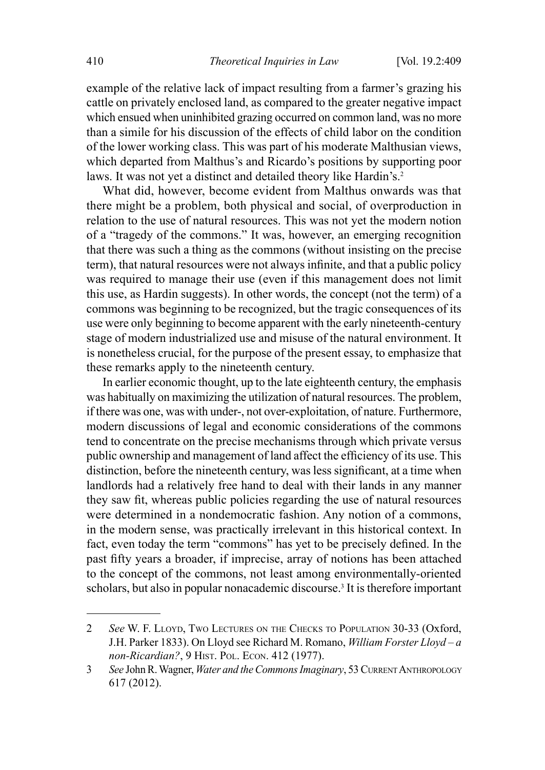example of the relative lack of impact resulting from a farmer's grazing his cattle on privately enclosed land, as compared to the greater negative impact which ensued when uninhibited grazing occurred on common land, was no more than a simile for his discussion of the effects of child labor on the condition of the lower working class. This was part of his moderate Malthusian views, which departed from Malthus's and Ricardo's positions by supporting poor laws. It was not yet a distinct and detailed theory like Hardin's.<sup>2</sup>

What did, however, become evident from Malthus onwards was that there might be a problem, both physical and social, of overproduction in relation to the use of natural resources. This was not yet the modern notion of a "tragedy of the commons." It was, however, an emerging recognition that there was such a thing as the commons (without insisting on the precise term), that natural resources were not always infinite, and that a public policy was required to manage their use (even if this management does not limit this use, as Hardin suggests). In other words, the concept (not the term) of a commons was beginning to be recognized, but the tragic consequences of its use were only beginning to become apparent with the early nineteenth-century stage of modern industrialized use and misuse of the natural environment. It is nonetheless crucial, for the purpose of the present essay, to emphasize that these remarks apply to the nineteenth century.

In earlier economic thought, up to the late eighteenth century, the emphasis was habitually on maximizing the utilization of natural resources. The problem, if there was one, was with under-, not over-exploitation, of nature. Furthermore, modern discussions of legal and economic considerations of the commons tend to concentrate on the precise mechanisms through which private versus public ownership and management of land affect the efficiency of its use. This distinction, before the nineteenth century, was less significant, at a time when landlords had a relatively free hand to deal with their lands in any manner they saw fit, whereas public policies regarding the use of natural resources were determined in a nondemocratic fashion. Any notion of a commons, in the modern sense, was practically irrelevant in this historical context. In fact, even today the term "commons" has yet to be precisely defined. In the past fifty years a broader, if imprecise, array of notions has been attached to the concept of the commons, not least among environmentally-oriented scholars, but also in popular nonacademic discourse.3 It is therefore important

<sup>2</sup> *See* W. F. Lloyd, Two Lectures on the Checks to Population 30-33 (Oxford, J.H. Parker 1833). On Lloyd see Richard M. Romano, *William Forster Lloyd – a non-Ricardian?*, 9 Hist. Pol. Econ. 412 (1977).

<sup>3</sup> See John R. Wagner, *Water and the Commons Imaginary*, 53 CURRENT ANTHROPOLOGY 617 (2012).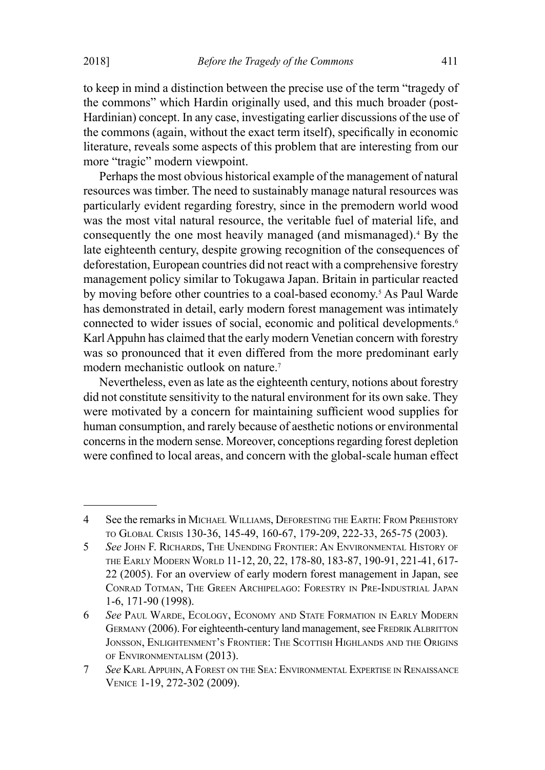to keep in mind a distinction between the precise use of the term "tragedy of the commons" which Hardin originally used, and this much broader (post-Hardinian) concept. In any case, investigating earlier discussions of the use of the commons (again, without the exact term itself), specifically in economic literature, reveals some aspects of this problem that are interesting from our more "tragic" modern viewpoint.

Perhaps the most obvious historical example of the management of natural resources was timber. The need to sustainably manage natural resources was particularly evident regarding forestry, since in the premodern world wood was the most vital natural resource, the veritable fuel of material life, and consequently the one most heavily managed (and mismanaged).4 By the late eighteenth century, despite growing recognition of the consequences of deforestation, European countries did not react with a comprehensive forestry management policy similar to Tokugawa Japan. Britain in particular reacted by moving before other countries to a coal-based economy.<sup>5</sup> As Paul Warde has demonstrated in detail, early modern forest management was intimately connected to wider issues of social, economic and political developments.<sup>6</sup> Karl Appuhn has claimed that the early modern Venetian concern with forestry was so pronounced that it even differed from the more predominant early modern mechanistic outlook on nature.7

Nevertheless, even as late as the eighteenth century, notions about forestry did not constitute sensitivity to the natural environment for its own sake. They were motivated by a concern for maintaining sufficient wood supplies for human consumption, and rarely because of aesthetic notions or environmental concerns in the modern sense. Moreover, conceptions regarding forest depletion were confined to local areas, and concern with the global-scale human effect

<sup>4</sup> See the remarks in Michael Williams, Deforesting the Earth: From Prehistory to Global Crisis 130-36, 145-49, 160-67, 179-209, 222-33, 265-75 (2003).

<sup>5</sup> *See* John F. Richards, The Unending Frontier: An Environmental History of the Early Modern World 11-12, 20, 22, 178-80, 183-87, 190-91, 221-41, 617- 22 (2005). For an overview of early modern forest management in Japan, see Conrad Totman, The Green Archipelago: Forestry in Pre-Industrial Japan 1-6, 171-90 (1998).

<sup>6</sup> *See* Paul Warde, Ecology, Economy and State Formation in Early Modern GERMANY (2006). For eighteenth-century land management, see FREDRIK ALBRITTON Jonsson, Enlightenment's Frontier: The Scottish Highlands and the Origins of Environmentalism (2013).

<sup>7</sup> *See* KarlAppuhn, A Forest on the Sea: Environmental Expertise in Renaissance Venice 1-19, 272-302 (2009).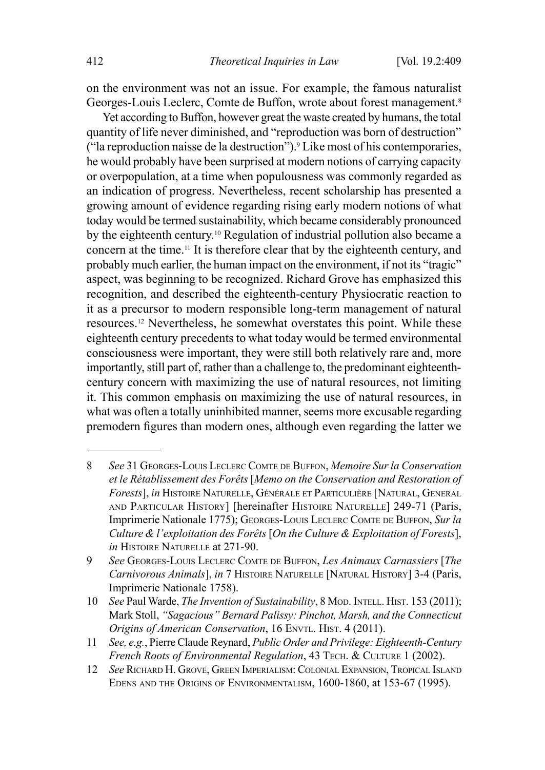on the environment was not an issue. For example, the famous naturalist Georges-Louis Leclerc, Comte de Buffon, wrote about forest management.<sup>8</sup>

Yet according to Buffon, however great the waste created by humans, the total quantity of life never diminished, and "reproduction was born of destruction" ("la reproduction naisse de la destruction").9 Like most of his contemporaries, he would probably have been surprised at modern notions of carrying capacity or overpopulation, at a time when populousness was commonly regarded as an indication of progress. Nevertheless, recent scholarship has presented a growing amount of evidence regarding rising early modern notions of what today would be termed sustainability, which became considerably pronounced by the eighteenth century.10 Regulation of industrial pollution also became a concern at the time.11 It is therefore clear that by the eighteenth century, and probably much earlier, the human impact on the environment, if not its "tragic" aspect, was beginning to be recognized. Richard Grove has emphasized this recognition, and described the eighteenth-century Physiocratic reaction to it as a precursor to modern responsible long-term management of natural resources.12 Nevertheless, he somewhat overstates this point. While these eighteenth century precedents to what today would be termed environmental consciousness were important, they were still both relatively rare and, more importantly, still part of, rather than a challenge to, the predominant eighteenthcentury concern with maximizing the use of natural resources, not limiting it. This common emphasis on maximizing the use of natural resources, in what was often a totally uninhibited manner, seems more excusable regarding premodern figures than modern ones, although even regarding the latter we

<sup>8</sup> *See* 31 Georges-Louis Leclerc Comte de Buffon, *Memoire Sur la Conservation et le Rétablissement des Forêts* [*Memo on the Conservation and Restoration of Forests*], *in* Histoire Naturelle, Générale et Particulière [Natural, General and Particular History] [hereinafter Histoire Naturelle] 249-71 (Paris, Imprimerie Nationale 1775); Georges-Louis Leclerc Comte de Buffon, *Sur la Culture & l'exploitation des Forêts* [*On the Culture & Exploitation of Forests*], *in* Histoire Naturelle at 271-90.

<sup>9</sup> *See* Georges-Louis Leclerc Comte de Buffon, *Les Animaux Carnassiers* [*The Carnivorous Animals*], *in* 7 Histoire Naturelle [Natural History] 3-4 (Paris, Imprimerie Nationale 1758).

<sup>10</sup> *See* Paul Warde, *The Invention of Sustainability*, 8 Mod. INTELL. HIST. 153 (2011); Mark Stoll, *"Sagacious" Bernard Palissy: Pinchot, Marsh, and the Connecticut Origins of American Conservation*, 16 ENVTL. HIST. 4 (2011).

<sup>11</sup> *See, e.g.*, Pierre Claude Reynard, *Public Order and Privilege: Eighteenth-Century French Roots of Environmental Regulation*, 43 TECH. & CULTURE 1 (2002).

<sup>12</sup> *See* Richard H. Grove, Green Imperialism: Colonial Expansion, Tropical Island Edens and the Origins of Environmentalism, 1600-1860, at 153-67 (1995).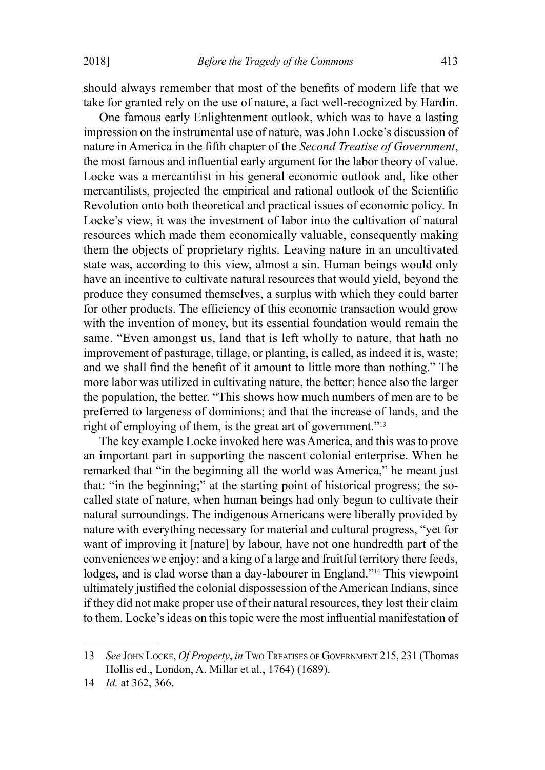should always remember that most of the benefits of modern life that we take for granted rely on the use of nature, a fact well-recognized by Hardin.

One famous early Enlightenment outlook, which was to have a lasting impression on the instrumental use of nature, was John Locke's discussion of nature in America in the fifth chapter of the *Second Treatise of Government*, the most famous and influential early argument for the labor theory of value. Locke was a mercantilist in his general economic outlook and, like other mercantilists, projected the empirical and rational outlook of the Scientific Revolution onto both theoretical and practical issues of economic policy. In Locke's view, it was the investment of labor into the cultivation of natural resources which made them economically valuable, consequently making them the objects of proprietary rights. Leaving nature in an uncultivated state was, according to this view, almost a sin. Human beings would only have an incentive to cultivate natural resources that would yield, beyond the produce they consumed themselves, a surplus with which they could barter for other products. The efficiency of this economic transaction would grow with the invention of money, but its essential foundation would remain the same. "Even amongst us, land that is left wholly to nature, that hath no improvement of pasturage, tillage, or planting, is called, as indeed it is, waste; and we shall find the benefit of it amount to little more than nothing." The more labor was utilized in cultivating nature, the better; hence also the larger the population, the better. "This shows how much numbers of men are to be preferred to largeness of dominions; and that the increase of lands, and the right of employing of them, is the great art of government."13

The key example Locke invoked here was America, and this was to prove an important part in supporting the nascent colonial enterprise. When he remarked that "in the beginning all the world was America," he meant just that: "in the beginning;" at the starting point of historical progress; the socalled state of nature, when human beings had only begun to cultivate their natural surroundings. The indigenous Americans were liberally provided by nature with everything necessary for material and cultural progress, "yet for want of improving it [nature] by labour, have not one hundredth part of the conveniences we enjoy: and a king of a large and fruitful territory there feeds, lodges, and is clad worse than a day-labourer in England."<sup>14</sup> This viewpoint ultimately justified the colonial dispossession of the American Indians, since if they did not make proper use of their natural resources, they lost their claim to them. Locke's ideas on this topic were the most influential manifestation of

<sup>13</sup> *See* John Locke, *Of Property*, *in* Two Treatises of Government 215, 231 (Thomas Hollis ed., London, A. Millar et al., 1764) (1689).

<sup>14</sup> *Id.* at 362, 366.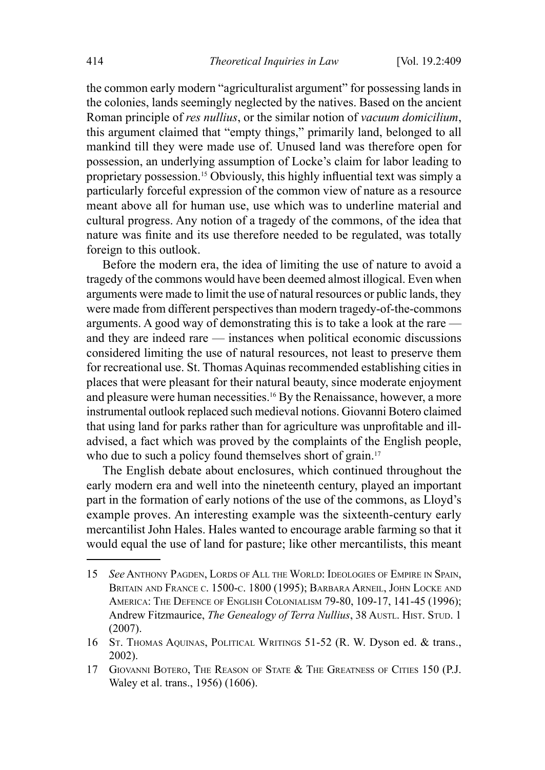the common early modern "agriculturalist argument" for possessing lands in the colonies, lands seemingly neglected by the natives. Based on the ancient Roman principle of *res nullius*, or the similar notion of *vacuum domicilium*, this argument claimed that "empty things," primarily land, belonged to all mankind till they were made use of. Unused land was therefore open for possession, an underlying assumption of Locke's claim for labor leading to proprietary possession.15 Obviously, this highly influential text was simply a particularly forceful expression of the common view of nature as a resource meant above all for human use, use which was to underline material and cultural progress. Any notion of a tragedy of the commons, of the idea that nature was finite and its use therefore needed to be regulated, was totally foreign to this outlook.

Before the modern era, the idea of limiting the use of nature to avoid a tragedy of the commons would have been deemed almost illogical. Even when arguments were made to limit the use of natural resources or public lands, they were made from different perspectives than modern tragedy-of-the-commons arguments. A good way of demonstrating this is to take a look at the rare and they are indeed rare — instances when political economic discussions considered limiting the use of natural resources, not least to preserve them for recreational use. St. Thomas Aquinas recommended establishing cities in places that were pleasant for their natural beauty, since moderate enjoyment and pleasure were human necessities.16 By the Renaissance, however, a more instrumental outlook replaced such medieval notions. Giovanni Botero claimed that using land for parks rather than for agriculture was unprofitable and illadvised, a fact which was proved by the complaints of the English people, who due to such a policy found themselves short of grain.<sup>17</sup>

The English debate about enclosures, which continued throughout the early modern era and well into the nineteenth century, played an important part in the formation of early notions of the use of the commons, as Lloyd's example proves. An interesting example was the sixteenth-century early mercantilist John Hales. Hales wanted to encourage arable farming so that it would equal the use of land for pasture; like other mercantilists, this meant

<sup>15</sup> *See* Anthony Pagden, Lords of All the World: Ideologies of Empire in Spain, BRITAIN AND FRANCE C. 1500-C. 1800 (1995); BARBARA ARNEIL, JOHN LOCKE AND America: The Defence of English Colonialism 79-80, 109-17, 141-45 (1996); Andrew Fitzmaurice, *The Genealogy of Terra Nullius*, 38 Austl. Hist. Stud. 1 (2007).

<sup>16</sup> St. Thomas Aquinas, Political Writings 51-52 (R. W. Dyson ed. & trans., 2002).

<sup>17</sup> GIOVANNI BOTERO, THE REASON OF STATE & THE GREATNESS OF CITIES 150 (P.J. Waley et al. trans., 1956) (1606).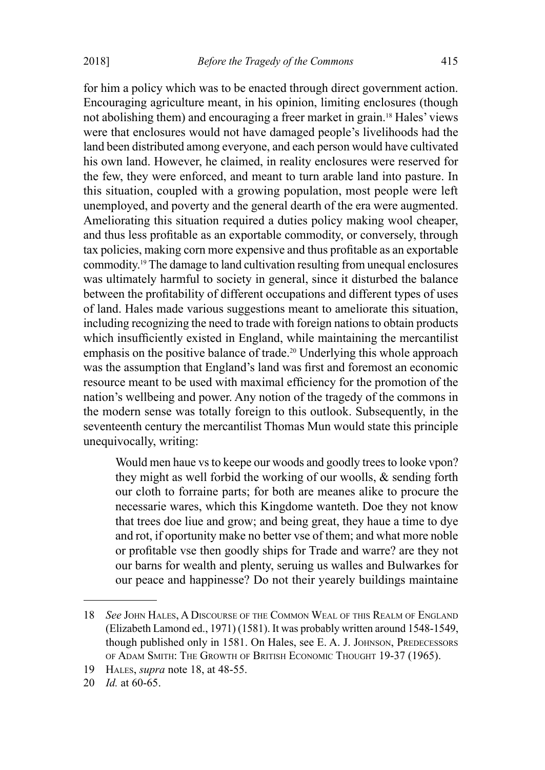for him a policy which was to be enacted through direct government action. Encouraging agriculture meant, in his opinion, limiting enclosures (though not abolishing them) and encouraging a freer market in grain.18 Hales' views were that enclosures would not have damaged people's livelihoods had the land been distributed among everyone, and each person would have cultivated his own land. However, he claimed, in reality enclosures were reserved for the few, they were enforced, and meant to turn arable land into pasture. In this situation, coupled with a growing population, most people were left unemployed, and poverty and the general dearth of the era were augmented. Ameliorating this situation required a duties policy making wool cheaper, and thus less profitable as an exportable commodity, or conversely, through tax policies, making corn more expensive and thus profitable as an exportable commodity.19 The damage to land cultivation resulting from unequal enclosures was ultimately harmful to society in general, since it disturbed the balance between the profitability of different occupations and different types of uses of land. Hales made various suggestions meant to ameliorate this situation, including recognizing the need to trade with foreign nations to obtain products which insufficiently existed in England, while maintaining the mercantilist emphasis on the positive balance of trade.<sup>20</sup> Underlying this whole approach was the assumption that England's land was first and foremost an economic resource meant to be used with maximal efficiency for the promotion of the nation's wellbeing and power. Any notion of the tragedy of the commons in the modern sense was totally foreign to this outlook. Subsequently, in the seventeenth century the mercantilist Thomas Mun would state this principle unequivocally, writing:

Would men haue vs to keepe our woods and goodly trees to looke vpon? they might as well forbid the working of our woolls, & sending forth our cloth to forraine parts; for both are meanes alike to procure the necessarie wares, which this Kingdome wanteth. Doe they not know that trees doe liue and grow; and being great, they haue a time to dye and rot, if oportunity make no better vse of them; and what more noble or profitable vse then goodly ships for Trade and warre? are they not our barns for wealth and plenty, seruing us walles and Bulwarkes for our peace and happinesse? Do not their yearely buildings maintaine

<sup>18</sup> *See* John Hales, A Discourse of the Common Weal of this Realm of England (Elizabeth Lamond ed., 1971) (1581). It was probably written around 1548-1549, though published only in 1581. On Hales, see E. A. J. JOHNSON, PREDECESSORS of Adam Smith: The Growth of British Economic Thought 19-37 (1965).

<sup>19</sup> Hales, *supra* note 18, at 48-55.

<sup>20</sup> *Id.* at 60-65.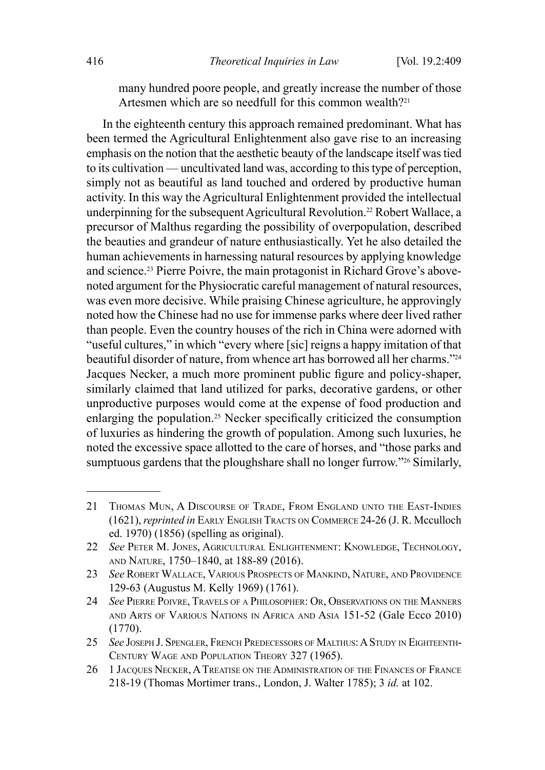many hundred poore people, and greatly increase the number of those Artesmen which are so needfull for this common wealth?<sup>21</sup>

In the eighteenth century this approach remained predominant. What has been termed the Agricultural Enlightenment also gave rise to an increasing emphasis on the notion that the aesthetic beauty of the landscape itself was tied to its cultivation — uncultivated land was, according to this type of perception, simply not as beautiful as land touched and ordered by productive human activity. In this way the Agricultural Enlightenment provided the intellectual underpinning for the subsequent Agricultural Revolution.<sup>22</sup> Robert Wallace, a precursor of Malthus regarding the possibility of overpopulation, described the beauties and grandeur of nature enthusiastically. Yet he also detailed the human achievements in harnessing natural resources by applying knowledge and science.23 Pierre Poivre, the main protagonist in Richard Grove's abovenoted argument for the Physiocratic careful management of natural resources, was even more decisive. While praising Chinese agriculture, he approvingly noted how the Chinese had no use for immense parks where deer lived rather than people. Even the country houses of the rich in China were adorned with "useful cultures," in which "every where [sic] reigns a happy imitation of that beautiful disorder of nature, from whence art has borrowed all her charms."24 Jacques Necker, a much more prominent public figure and policy-shaper, similarly claimed that land utilized for parks, decorative gardens, or other unproductive purposes would come at the expense of food production and enlarging the population.25 Necker specifically criticized the consumption of luxuries as hindering the growth of population. Among such luxuries, he noted the excessive space allotted to the care of horses, and "those parks and sumptuous gardens that the ploughshare shall no longer furrow."<sup>26</sup> Similarly,

<sup>21</sup> Thomas Mun, A Discourse of Trade, From England unto the East-Indies (1621), *reprinted in* Early English Tracts on Commerce 24-26 (J. R. Mcculloch ed. 1970) (1856) (spelling as original).

<sup>22</sup> *See* Peter M. Jones, Agricultural Enlightenment: Knowledge, Technology, and Nature, 1750–1840, at 188-89 (2016).

<sup>23</sup> *See* Robert Wallace, Various Prospects of Mankind, Nature, and Providence 129-63 (Augustus M. Kelly 1969) (1761).

<sup>24</sup> *See* Pierre Poivre, Travels of a Philosopher: Or, Observations on the Manners and Arts of Various Nations in Africa and Asia 151-52 (Gale Ecco 2010) (1770).

<sup>25</sup> *See* Joseph J. Spengler, French Predecessors of Malthus: AStudy in Eighteenth-Century Wage and Population Theory 327 (1965).

<sup>26 1</sup> JACQUES NECKER, A TREATISE ON THE ADMINISTRATION OF THE FINANCES OF FRANCE 218-19 (Thomas Mortimer trans., London, J. Walter 1785); 3 *id.* at 102.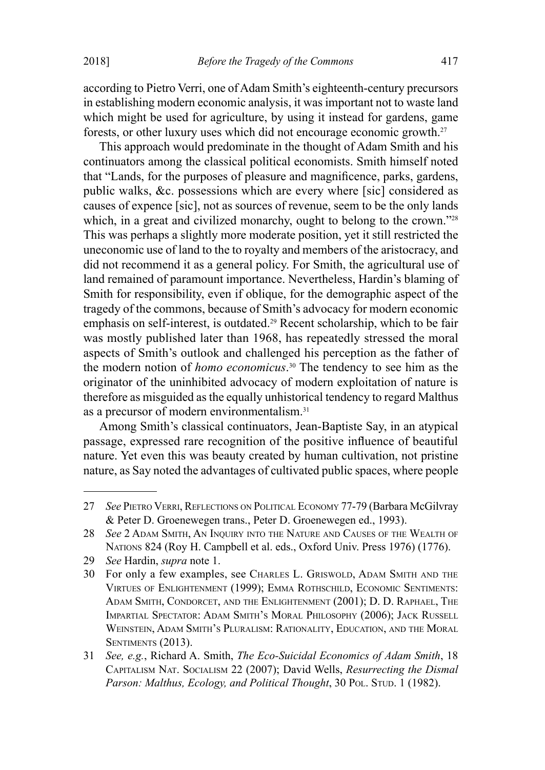according to Pietro Verri, one of Adam Smith's eighteenth-century precursors in establishing modern economic analysis, it was important not to waste land which might be used for agriculture, by using it instead for gardens, game forests, or other luxury uses which did not encourage economic growth.27

This approach would predominate in the thought of Adam Smith and his continuators among the classical political economists. Smith himself noted that "Lands, for the purposes of pleasure and magnificence, parks, gardens, public walks, &c. possessions which are every where [sic] considered as causes of expence [sic], not as sources of revenue, seem to be the only lands which, in a great and civilized monarchy, ought to belong to the crown."<sup>28</sup> This was perhaps a slightly more moderate position, yet it still restricted the uneconomic use of land to the to royalty and members of the aristocracy, and did not recommend it as a general policy. For Smith, the agricultural use of land remained of paramount importance. Nevertheless, Hardin's blaming of Smith for responsibility, even if oblique, for the demographic aspect of the tragedy of the commons, because of Smith's advocacy for modern economic emphasis on self-interest, is outdated.29 Recent scholarship, which to be fair was mostly published later than 1968, has repeatedly stressed the moral aspects of Smith's outlook and challenged his perception as the father of the modern notion of *homo economicus*. 30 The tendency to see him as the originator of the uninhibited advocacy of modern exploitation of nature is therefore as misguided as the equally unhistorical tendency to regard Malthus as a precursor of modern environmentalism.<sup>31</sup>

Among Smith's classical continuators, Jean-Baptiste Say, in an atypical passage, expressed rare recognition of the positive influence of beautiful nature. Yet even this was beauty created by human cultivation, not pristine nature, as Say noted the advantages of cultivated public spaces, where people

<sup>27</sup> *See* Pietro Verri, Reflections on Political Economy 77-79 (Barbara McGilvray & Peter D. Groenewegen trans., Peter D. Groenewegen ed., 1993).

<sup>28</sup> *See* 2 Adam Smith, An Inquiry into the Nature and Causes of the Wealth of Nations 824 (Roy H. Campbell et al. eds., Oxford Univ. Press 1976) (1776).

<sup>29</sup> *See* Hardin, *supra* note 1.

<sup>30</sup> For only a few examples, see Charles L. Griswold, Adam Smith and the Virtues of Enlightenment (1999); Emma Rothschild, Economic Sentiments: Adam Smith, Condorcet, and the Enlightenment (2001); D. D. Raphael, The Impartial Spectator: Adam Smith's Moral Philosophy (2006); Jack Russell Weinstein, Adam Smith's Pluralism: Rationality, Education, and the Moral SENTIMENTS (2013).

<sup>31</sup> *See, e.g.*, Richard A. Smith, *The Eco-Suicidal Economics of Adam Smith*, 18 Capitalism Nat. Socialism 22 (2007); David Wells, *Resurrecting the Dismal*  Parson: Malthus, *Ecology, and Political Thought*, 30 Pol. Stup. 1 (1982).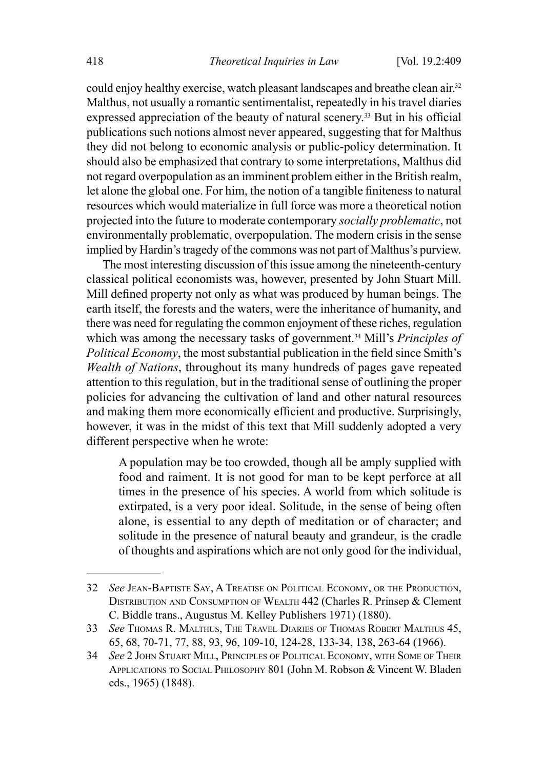could enjoy healthy exercise, watch pleasant landscapes and breathe clean air.<sup>32</sup> Malthus, not usually a romantic sentimentalist, repeatedly in his travel diaries expressed appreciation of the beauty of natural scenery.<sup>33</sup> But in his official publications such notions almost never appeared, suggesting that for Malthus they did not belong to economic analysis or public-policy determination. It should also be emphasized that contrary to some interpretations, Malthus did not regard overpopulation as an imminent problem either in the British realm, let alone the global one. For him, the notion of a tangible finiteness to natural resources which would materialize in full force was more a theoretical notion projected into the future to moderate contemporary *socially problematic*, not environmentally problematic, overpopulation. The modern crisis in the sense implied by Hardin's tragedy of the commons was not part of Malthus's purview.

The most interesting discussion of this issue among the nineteenth-century classical political economists was, however, presented by John Stuart Mill. Mill defined property not only as what was produced by human beings. The earth itself, the forests and the waters, were the inheritance of humanity, and there was need for regulating the common enjoyment of these riches, regulation which was among the necessary tasks of government.<sup>34</sup> Mill's *Principles of Political Economy*, the most substantial publication in the field since Smith's *Wealth of Nations*, throughout its many hundreds of pages gave repeated attention to this regulation, but in the traditional sense of outlining the proper policies for advancing the cultivation of land and other natural resources and making them more economically efficient and productive. Surprisingly, however, it was in the midst of this text that Mill suddenly adopted a very different perspective when he wrote:

A population may be too crowded, though all be amply supplied with food and raiment. It is not good for man to be kept perforce at all times in the presence of his species. A world from which solitude is extirpated, is a very poor ideal. Solitude, in the sense of being often alone, is essential to any depth of meditation or of character; and solitude in the presence of natural beauty and grandeur, is the cradle of thoughts and aspirations which are not only good for the individual,

<sup>32</sup> *See* Jean-Baptiste Say, A Treatise on Political Economy, or the Production, Distribution and Consumption of Wealth 442 (Charles R. Prinsep & Clement C. Biddle trans., Augustus M. Kelley Publishers 1971) (1880).

<sup>33</sup> *See* Thomas R. Malthus, The Travel Diaries of Thomas Robert Malthus 45, 65, 68, 70-71, 77, 88, 93, 96, 109-10, 124-28, 133-34, 138, 263-64 (1966).

<sup>34</sup> *See* 2 John Stuart Mill, Principles of Political Economy, with Some of Their Applications to Social Philosophy 801 (John M. Robson & Vincent W. Bladen eds., 1965) (1848).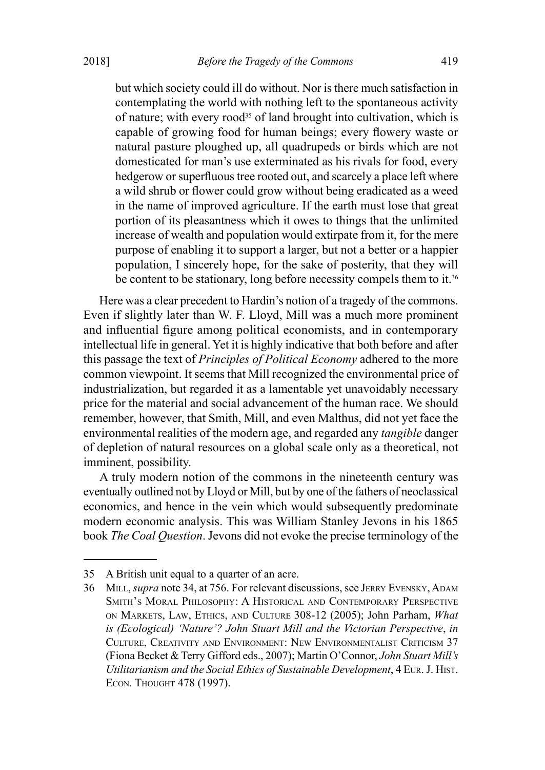but which society could ill do without. Nor is there much satisfaction in contemplating the world with nothing left to the spontaneous activity of nature; with every rood<sup>35</sup> of land brought into cultivation, which is capable of growing food for human beings; every flowery waste or natural pasture ploughed up, all quadrupeds or birds which are not domesticated for man's use exterminated as his rivals for food, every hedgerow or superfluous tree rooted out, and scarcely a place left where a wild shrub or flower could grow without being eradicated as a weed in the name of improved agriculture. If the earth must lose that great portion of its pleasantness which it owes to things that the unlimited increase of wealth and population would extirpate from it, for the mere purpose of enabling it to support a larger, but not a better or a happier population, I sincerely hope, for the sake of posterity, that they will be content to be stationary, long before necessity compels them to it.<sup>36</sup>

Here was a clear precedent to Hardin's notion of a tragedy of the commons. Even if slightly later than W. F. Lloyd, Mill was a much more prominent and influential figure among political economists, and in contemporary intellectual life in general. Yet it is highly indicative that both before and after this passage the text of *Principles of Political Economy* adhered to the more common viewpoint. It seems that Mill recognized the environmental price of industrialization, but regarded it as a lamentable yet unavoidably necessary price for the material and social advancement of the human race. We should remember, however, that Smith, Mill, and even Malthus, did not yet face the environmental realities of the modern age, and regarded any *tangible* danger of depletion of natural resources on a global scale only as a theoretical, not imminent, possibility.

A truly modern notion of the commons in the nineteenth century was eventually outlined not by Lloyd or Mill, but by one of the fathers of neoclassical economics, and hence in the vein which would subsequently predominate modern economic analysis. This was William Stanley Jevons in his 1865 book *The Coal Question*. Jevons did not evoke the precise terminology of the

<sup>35</sup> A British unit equal to a quarter of an acre.

<sup>36</sup> MILL, *supra* note 34, at 756. For relevant discussions, see JERRY EVENSKY, ADAM Smith's Moral Philosophy: A Historical and Contemporary Perspective on Markets, Law, Ethics, and Culture 308-12 (2005); John Parham, *What is (Ecological) 'Nature'? John Stuart Mill and the Victorian Perspective*, *in* Culture, Creativity and Environment: New Environmentalist Criticism 37 (Fiona Becket & Terry Gifford eds., 2007); Martin O'Connor, *John Stuart Mill's Utilitarianism and the Social Ethics of Sustainable Development*, 4 Eur. J. Hist. Econ. Thought 478 (1997).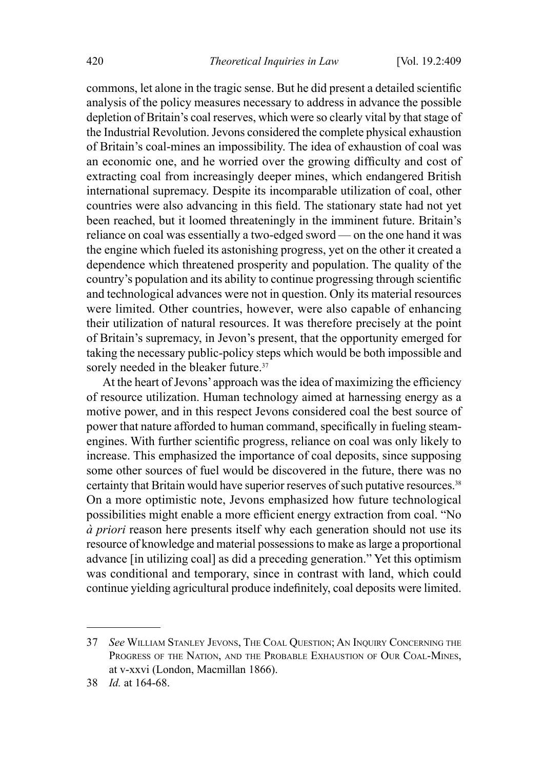commons, let alone in the tragic sense. But he did present a detailed scientific analysis of the policy measures necessary to address in advance the possible depletion of Britain's coal reserves, which were so clearly vital by that stage of the Industrial Revolution. Jevons considered the complete physical exhaustion of Britain's coal-mines an impossibility. The idea of exhaustion of coal was an economic one, and he worried over the growing difficulty and cost of extracting coal from increasingly deeper mines, which endangered British international supremacy. Despite its incomparable utilization of coal, other countries were also advancing in this field. The stationary state had not yet been reached, but it loomed threateningly in the imminent future. Britain's reliance on coal was essentially a two-edged sword — on the one hand it was the engine which fueled its astonishing progress, yet on the other it created a dependence which threatened prosperity and population. The quality of the country's population and its ability to continue progressing through scientific and technological advances were not in question. Only its material resources were limited. Other countries, however, were also capable of enhancing their utilization of natural resources. It was therefore precisely at the point of Britain's supremacy, in Jevon's present, that the opportunity emerged for taking the necessary public-policy steps which would be both impossible and sorely needed in the bleaker future.<sup>37</sup>

At the heart of Jevons' approach was the idea of maximizing the efficiency of resource utilization. Human technology aimed at harnessing energy as a motive power, and in this respect Jevons considered coal the best source of power that nature afforded to human command, specifically in fueling steamengines. With further scientific progress, reliance on coal was only likely to increase. This emphasized the importance of coal deposits, since supposing some other sources of fuel would be discovered in the future, there was no certainty that Britain would have superior reserves of such putative resources.38 On a more optimistic note, Jevons emphasized how future technological possibilities might enable a more efficient energy extraction from coal. "No *à priori* reason here presents itself why each generation should not use its resource of knowledge and material possessions to make as large a proportional advance [in utilizing coal] as did a preceding generation." Yet this optimism was conditional and temporary, since in contrast with land, which could continue yielding agricultural produce indefinitely, coal deposits were limited.

<sup>37</sup> *See* William Stanley Jevons, The Coal Question; An Inquiry Concerning the Progress of the Nation, and the Probable Exhaustion of Our Coal-Mines, at v-xxvi (London, Macmillan 1866).

<sup>38</sup> *Id.* at 164-68.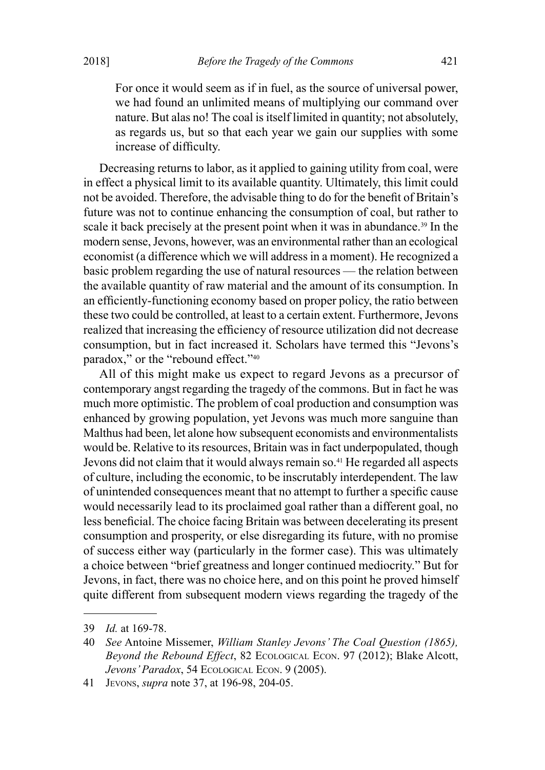For once it would seem as if in fuel, as the source of universal power, we had found an unlimited means of multiplying our command over nature. But alas no! The coal is itself limited in quantity; not absolutely, as regards us, but so that each year we gain our supplies with some increase of difficulty.

Decreasing returns to labor, as it applied to gaining utility from coal, were in effect a physical limit to its available quantity. Ultimately, this limit could not be avoided. Therefore, the advisable thing to do for the benefit of Britain's future was not to continue enhancing the consumption of coal, but rather to scale it back precisely at the present point when it was in abundance.<sup>39</sup> In the modern sense, Jevons, however, was an environmental rather than an ecological economist (a difference which we will address in a moment). He recognized a basic problem regarding the use of natural resources — the relation between the available quantity of raw material and the amount of its consumption. In an efficiently-functioning economy based on proper policy, the ratio between these two could be controlled, at least to a certain extent. Furthermore, Jevons realized that increasing the efficiency of resource utilization did not decrease consumption, but in fact increased it. Scholars have termed this "Jevons's paradox," or the "rebound effect."<sup>40</sup>

All of this might make us expect to regard Jevons as a precursor of contemporary angst regarding the tragedy of the commons. But in fact he was much more optimistic. The problem of coal production and consumption was enhanced by growing population, yet Jevons was much more sanguine than Malthus had been, let alone how subsequent economists and environmentalists would be. Relative to its resources, Britain was in fact underpopulated, though Jevons did not claim that it would always remain so.<sup>41</sup> He regarded all aspects of culture, including the economic, to be inscrutably interdependent. The law of unintended consequences meant that no attempt to further a specific cause would necessarily lead to its proclaimed goal rather than a different goal, no less beneficial. The choice facing Britain was between decelerating its present consumption and prosperity, or else disregarding its future, with no promise of success either way (particularly in the former case). This was ultimately a choice between "brief greatness and longer continued mediocrity." But for Jevons, in fact, there was no choice here, and on this point he proved himself quite different from subsequent modern views regarding the tragedy of the

<sup>39</sup> *Id.* at 169-78.

<sup>40</sup> *See* Antoine Missemer, *William Stanley Jevons' The Coal Question (1865), Beyond the Rebound Effect*, 82 Ecological Econ. 97 (2012); Blake Alcott, *Jevons' Paradox*, 54 Ecological Econ. 9 (2005).

<sup>41</sup> Jevons, *supra* note 37, at 196-98, 204-05.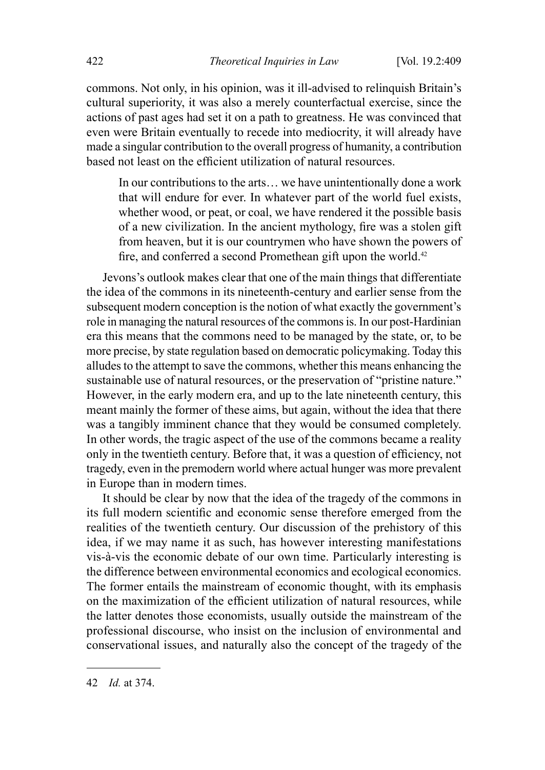commons. Not only, in his opinion, was it ill-advised to relinquish Britain's cultural superiority, it was also a merely counterfactual exercise, since the actions of past ages had set it on a path to greatness. He was convinced that even were Britain eventually to recede into mediocrity, it will already have made a singular contribution to the overall progress of humanity, a contribution based not least on the efficient utilization of natural resources.

In our contributions to the arts… we have unintentionally done a work that will endure for ever. In whatever part of the world fuel exists, whether wood, or peat, or coal, we have rendered it the possible basis of a new civilization. In the ancient mythology, fire was a stolen gift from heaven, but it is our countrymen who have shown the powers of fire, and conferred a second Promethean gift upon the world.<sup>42</sup>

Jevons's outlook makes clear that one of the main things that differentiate the idea of the commons in its nineteenth-century and earlier sense from the subsequent modern conception is the notion of what exactly the government's role in managing the natural resources of the commons is. In our post-Hardinian era this means that the commons need to be managed by the state, or, to be more precise, by state regulation based on democratic policymaking. Today this alludes to the attempt to save the commons, whether this means enhancing the sustainable use of natural resources, or the preservation of "pristine nature." However, in the early modern era, and up to the late nineteenth century, this meant mainly the former of these aims, but again, without the idea that there was a tangibly imminent chance that they would be consumed completely. In other words, the tragic aspect of the use of the commons became a reality only in the twentieth century. Before that, it was a question of efficiency, not tragedy, even in the premodern world where actual hunger was more prevalent in Europe than in modern times.

It should be clear by now that the idea of the tragedy of the commons in its full modern scientific and economic sense therefore emerged from the realities of the twentieth century. Our discussion of the prehistory of this idea, if we may name it as such, has however interesting manifestations vis-à-vis the economic debate of our own time. Particularly interesting is the difference between environmental economics and ecological economics. The former entails the mainstream of economic thought, with its emphasis on the maximization of the efficient utilization of natural resources, while the latter denotes those economists, usually outside the mainstream of the professional discourse, who insist on the inclusion of environmental and conservational issues, and naturally also the concept of the tragedy of the

<sup>42</sup> *Id.* at 374.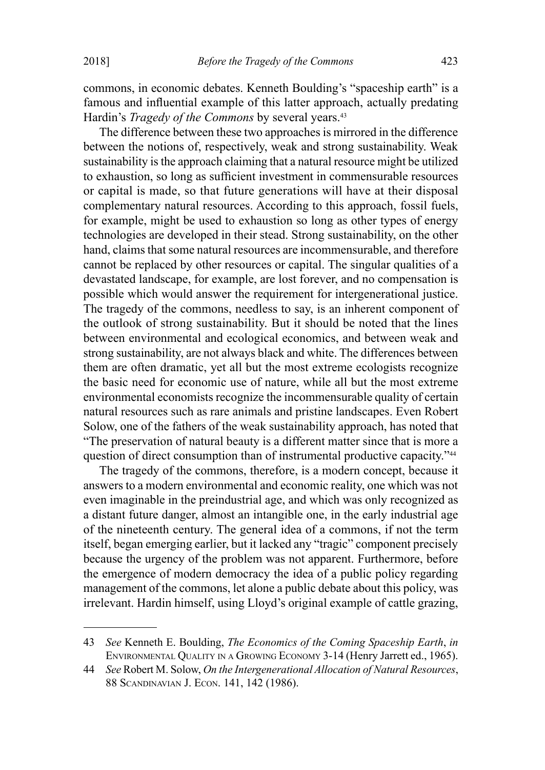commons, in economic debates. Kenneth Boulding's "spaceship earth" is a famous and influential example of this latter approach, actually predating Hardin's *Tragedy of the Commons* by several years.<sup>43</sup>

The difference between these two approaches is mirrored in the difference between the notions of, respectively, weak and strong sustainability. Weak sustainability is the approach claiming that a natural resource might be utilized to exhaustion, so long as sufficient investment in commensurable resources or capital is made, so that future generations will have at their disposal complementary natural resources. According to this approach, fossil fuels, for example, might be used to exhaustion so long as other types of energy technologies are developed in their stead. Strong sustainability, on the other hand, claims that some natural resources are incommensurable, and therefore cannot be replaced by other resources or capital. The singular qualities of a devastated landscape, for example, are lost forever, and no compensation is possible which would answer the requirement for intergenerational justice. The tragedy of the commons, needless to say, is an inherent component of the outlook of strong sustainability. But it should be noted that the lines between environmental and ecological economics, and between weak and strong sustainability, are not always black and white. The differences between them are often dramatic, yet all but the most extreme ecologists recognize the basic need for economic use of nature, while all but the most extreme environmental economists recognize the incommensurable quality of certain natural resources such as rare animals and pristine landscapes. Even Robert Solow, one of the fathers of the weak sustainability approach, has noted that "The preservation of natural beauty is a different matter since that is more a question of direct consumption than of instrumental productive capacity."<sup>44</sup>

The tragedy of the commons, therefore, is a modern concept, because it answers to a modern environmental and economic reality, one which was not even imaginable in the preindustrial age, and which was only recognized as a distant future danger, almost an intangible one, in the early industrial age of the nineteenth century. The general idea of a commons, if not the term itself, began emerging earlier, but it lacked any "tragic" component precisely because the urgency of the problem was not apparent. Furthermore, before the emergence of modern democracy the idea of a public policy regarding management of the commons, let alone a public debate about this policy, was irrelevant. Hardin himself, using Lloyd's original example of cattle grazing,

<sup>43</sup> *See* Kenneth E. Boulding, *The Economics of the Coming Spaceship Earth*, *in* Environmental Quality in <sup>a</sup> Growing Economy 3-14 (Henry Jarrett ed., 1965).

<sup>44</sup> *See* Robert M. Solow, *On the Intergenerational Allocation of Natural Resources*, 88 Scandinavian J. Econ. 141, 142 (1986).